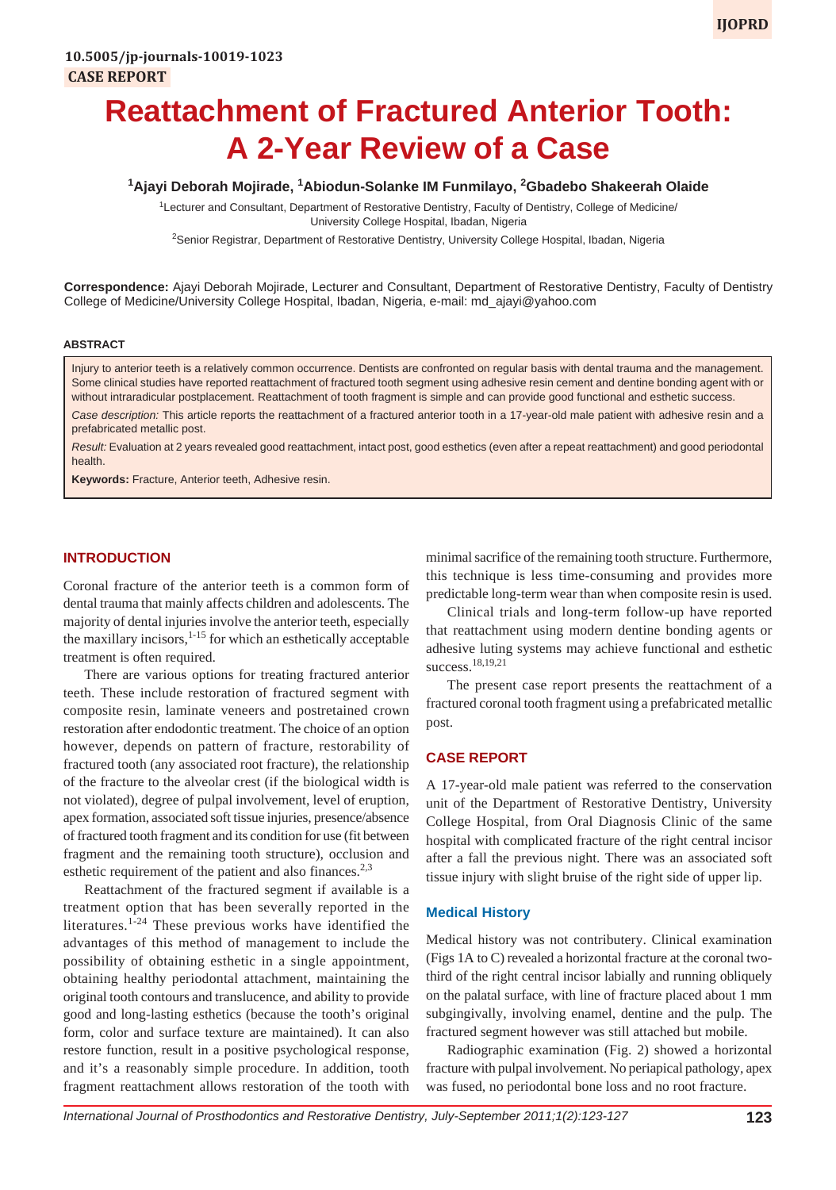## <sup>1</sup>Ajayi Deborah Mojirade, <sup>1</sup>Abiodun-Solanke IM Funmilayo, <sup>2</sup>Gbadebo Shakeerah Olaide

1 Lecturer and Consultant, Department of Restorative Dentistry, Faculty of Dentistry, College of Medicine/ University College Hospital, Ibadan, Nigeria

<sup>2</sup>Senior Registrar, Department of Restorative Dentistry, University College Hospital, Ibadan, Nigeria

**Correspondence:** Ajayi Deborah Mojirade, Lecturer and Consultant, Department of Restorative Dentistry, Faculty of Dentistry College of Medicine/University College Hospital, Ibadan, Nigeria, e-mail: md\_ajayi@yahoo.com

#### **ABSTRACT**

Injury to anterior teeth is a relatively common occurrence. Dentists are confronted on regular basis with dental trauma and the management. Some clinical studies have reported reattachment of fractured tooth segment using adhesive resin cement and dentine bonding agent with or without intraradicular postplacement. Reattachment of tooth fragment is simple and can provide good functional and esthetic success. *Case description:* This article reports the reattachment of a fractured anterior tooth in a 17-year-old male patient with adhesive resin and a

prefabricated metallic post.

*Result:* Evaluation at 2 years revealed good reattachment, intact post, good esthetics (even after a repeat reattachment) and good periodontal health.

**Keywords:** Fracture, Anterior teeth, Adhesive resin.

# **INTRODUCTION**

Coronal fracture of the anterior teeth is a common form of dental trauma that mainly affects children and adolescents. The majority of dental injuries involve the anterior teeth, especially the maxillary incisors, $1-15$  for which an esthetically acceptable treatment is often required.

There are various options for treating fractured anterior teeth. These include restoration of fractured segment with composite resin, laminate veneers and postretained crown restoration after endodontic treatment. The choice of an option however, depends on pattern of fracture, restorability of fractured tooth (any associated root fracture), the relationship of the fracture to the alveolar crest (if the biological width is not violated), degree of pulpal involvement, level of eruption, apex formation, associated soft tissue injuries, presence/absence of fractured tooth fragment and its condition for use (fit between fragment and the remaining tooth structure), occlusion and esthetic requirement of the patient and also finances.<sup>2,3</sup>

Reattachment of the fractured segment if available is a treatment option that has been severally reported in the literatures.<sup>1-24</sup> These previous works have identified the advantages of this method of management to include the possibility of obtaining esthetic in a single appointment, obtaining healthy periodontal attachment, maintaining the original tooth contours and translucence, and ability to provide good and long-lasting esthetics (because the tooth's original form, color and surface texture are maintained). It can also restore function, result in a positive psychological response, and it's a reasonably simple procedure. In addition, tooth fragment reattachment allows restoration of the tooth with

minimal sacrifice of the remaining tooth structure. Furthermore, this technique is less time-consuming and provides more predictable long-term wear than when composite resin is used.

Clinical trials and long-term follow-up have reported that reattachment using modern dentine bonding agents or adhesive luting systems may achieve functional and esthetic success.<sup>18,19,21</sup>

The present case report presents the reattachment of a fractured coronal tooth fragment using a prefabricated metallic post.

#### **CASE REPORT**

A 17-year-old male patient was referred to the conservation unit of the Department of Restorative Dentistry, University College Hospital, from Oral Diagnosis Clinic of the same hospital with complicated fracture of the right central incisor after a fall the previous night. There was an associated soft tissue injury with slight bruise of the right side of upper lip.

#### **Medical History**

Medical history was not contributery. Clinical examination (Figs 1A to C) revealed a horizontal fracture at the coronal twothird of the right central incisor labially and running obliquely on the palatal surface, with line of fracture placed about 1 mm subgingivally, involving enamel, dentine and the pulp. The fractured segment however was still attached but mobile.

Radiographic examination (Fig. 2) showed a horizontal fracture with pulpal involvement. No periapical pathology, apex was fused, no periodontal bone loss and no root fracture.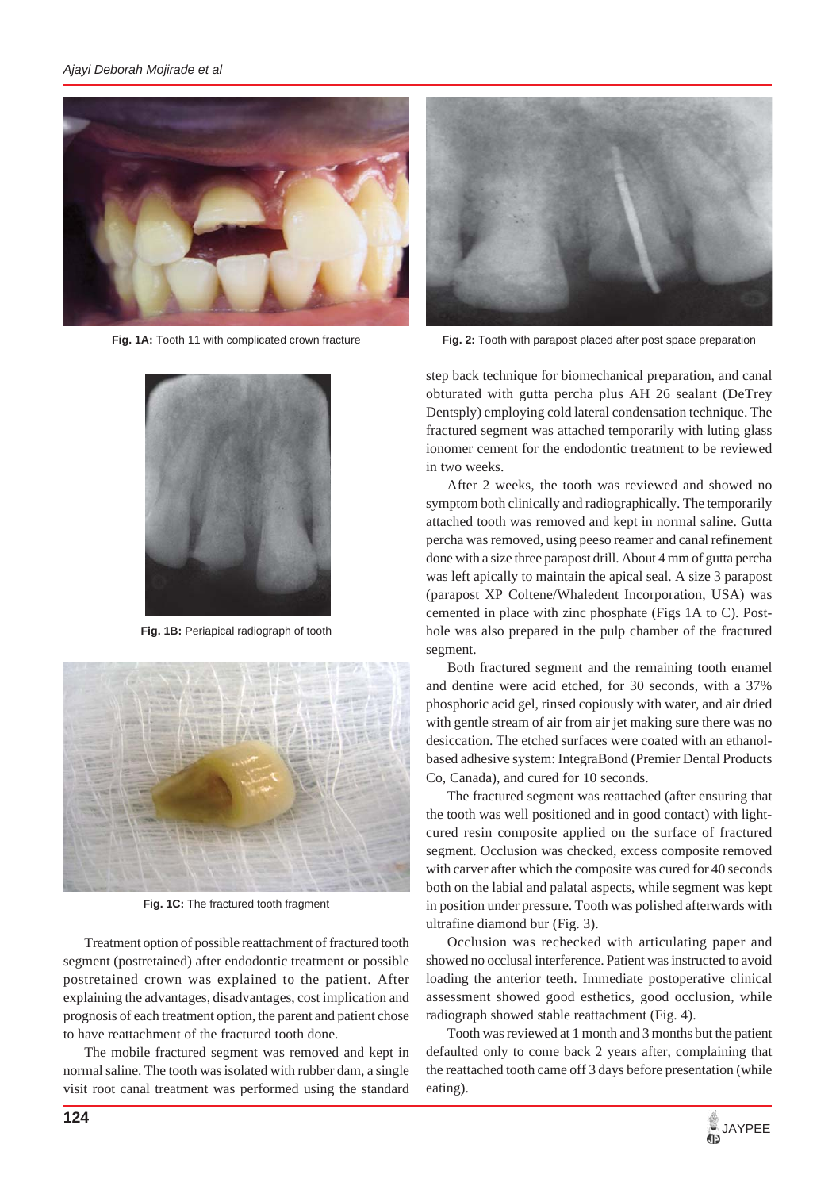

**Fig. 1A:** Tooth 11 with complicated crown fracture



**Fig. 1B:** Periapical radiograph of tooth



**Fig. 1C:** The fractured tooth fragment

Treatment option of possible reattachment of fractured tooth segment (postretained) after endodontic treatment or possible postretained crown was explained to the patient. After explaining the advantages, disadvantages, cost implication and prognosis of each treatment option, the parent and patient chose to have reattachment of the fractured tooth done.

The mobile fractured segment was removed and kept in normal saline. The tooth was isolated with rubber dam, a single visit root canal treatment was performed using the standard



**Fig. 2:** Tooth with parapost placed after post space preparation

step back technique for biomechanical preparation, and canal obturated with gutta percha plus AH 26 sealant (DeTrey Dentsply) employing cold lateral condensation technique. The fractured segment was attached temporarily with luting glass ionomer cement for the endodontic treatment to be reviewed in two weeks.

After 2 weeks, the tooth was reviewed and showed no symptom both clinically and radiographically. The temporarily attached tooth was removed and kept in normal saline. Gutta percha was removed, using peeso reamer and canal refinement done with a size three parapost drill. About 4 mm of gutta percha was left apically to maintain the apical seal. A size 3 parapost (parapost XP Coltene/Whaledent Incorporation, USA) was cemented in place with zinc phosphate (Figs 1A to C). Posthole was also prepared in the pulp chamber of the fractured segment.

Both fractured segment and the remaining tooth enamel and dentine were acid etched, for 30 seconds, with a 37% phosphoric acid gel, rinsed copiously with water, and air dried with gentle stream of air from air jet making sure there was no desiccation. The etched surfaces were coated with an ethanolbased adhesive system: IntegraBond (Premier Dental Products Co, Canada), and cured for 10 seconds.

The fractured segment was reattached (after ensuring that the tooth was well positioned and in good contact) with lightcured resin composite applied on the surface of fractured segment. Occlusion was checked, excess composite removed with carver after which the composite was cured for 40 seconds both on the labial and palatal aspects, while segment was kept in position under pressure. Tooth was polished afterwards with ultrafine diamond bur (Fig. 3).

Occlusion was rechecked with articulating paper and showed no occlusal interference. Patient was instructed to avoid loading the anterior teeth. Immediate postoperative clinical assessment showed good esthetics, good occlusion, while radiograph showed stable reattachment (Fig. 4).

Tooth was reviewed at 1 month and 3 months but the patient defaulted only to come back 2 years after, complaining that the reattached tooth came off 3 days before presentation (while eating).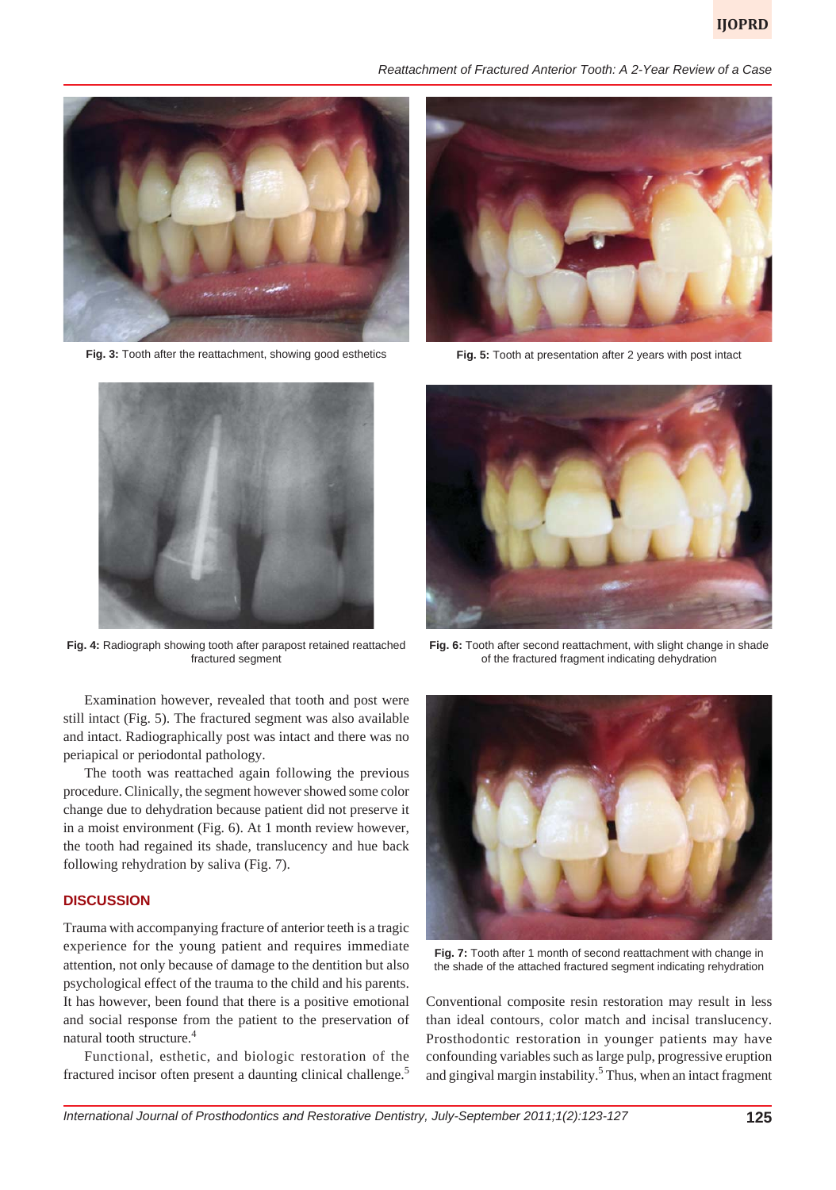*Reattachment of Fractured Anterior Tooth: A 2-Year Review of a Case*



**Fig. 3:** Tooth after the reattachment, showing good esthetics



**Fig. 4:** Radiograph showing tooth after parapost retained reattached fractured segment

Examination however, revealed that tooth and post were still intact (Fig. 5). The fractured segment was also available and intact. Radiographically post was intact and there was no periapical or periodontal pathology.

The tooth was reattached again following the previous procedure. Clinically, the segment however showed some color change due to dehydration because patient did not preserve it in a moist environment (Fig. 6). At 1 month review however, the tooth had regained its shade, translucency and hue back following rehydration by saliva (Fig. 7).

### **DISCUSSION**

Trauma with accompanying fracture of anterior teeth is a tragic experience for the young patient and requires immediate attention, not only because of damage to the dentition but also psychological effect of the trauma to the child and his parents. It has however, been found that there is a positive emotional and social response from the patient to the preservation of natural tooth structure.4

Functional, esthetic, and biologic restoration of the fractured incisor often present a daunting clinical challenge.<sup>5</sup>



**Fig. 5:** Tooth at presentation after 2 years with post intact



**Fig. 6:** Tooth after second reattachment, with slight change in shade of the fractured fragment indicating dehydration



**Fig. 7:** Tooth after 1 month of second reattachment with change in the shade of the attached fractured segment indicating rehydration

Conventional composite resin restoration may result in less than ideal contours, color match and incisal translucency. Prosthodontic restoration in younger patients may have confounding variables such as large pulp, progressive eruption and gingival margin instability.<sup>5</sup> Thus, when an intact fragment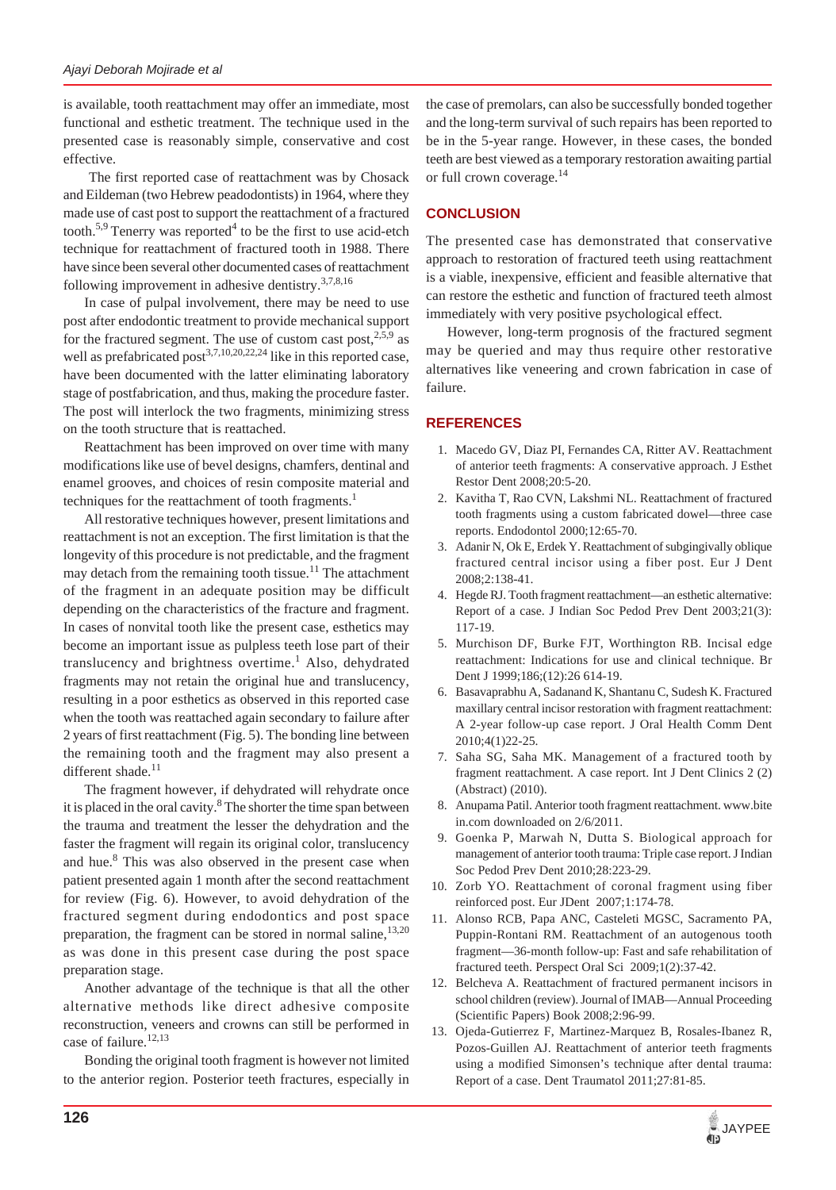is available, tooth reattachment may offer an immediate, most functional and esthetic treatment. The technique used in the presented case is reasonably simple, conservative and cost effective.

 The first reported case of reattachment was by Chosack and Eildeman (two Hebrew peadodontists) in 1964, where they made use of cast post to support the reattachment of a fractured tooth.<sup>5,9</sup> Tenerry was reported<sup>4</sup> to be the first to use acid-etch technique for reattachment of fractured tooth in 1988. There have since been several other documented cases of reattachment following improvement in adhesive dentistry.<sup>3,7,8,16</sup>

In case of pulpal involvement, there may be need to use post after endodontic treatment to provide mechanical support for the fractured segment. The use of custom cast post,  $2.5$ , as well as prefabricated post<sup>3,7,10,20,22,24</sup> like in this reported case, have been documented with the latter eliminating laboratory stage of postfabrication, and thus, making the procedure faster. The post will interlock the two fragments, minimizing stress on the tooth structure that is reattached.

Reattachment has been improved on over time with many modifications like use of bevel designs, chamfers, dentinal and enamel grooves, and choices of resin composite material and techniques for the reattachment of tooth fragments.<sup>1</sup>

All restorative techniques however, present limitations and reattachment is not an exception. The first limitation is that the longevity of this procedure is not predictable, and the fragment may detach from the remaining tooth tissue.<sup>11</sup> The attachment of the fragment in an adequate position may be difficult depending on the characteristics of the fracture and fragment. In cases of nonvital tooth like the present case, esthetics may become an important issue as pulpless teeth lose part of their translucency and brightness overtime.<sup>1</sup> Also, dehydrated fragments may not retain the original hue and translucency, resulting in a poor esthetics as observed in this reported case when the tooth was reattached again secondary to failure after 2 years of first reattachment (Fig. 5). The bonding line between the remaining tooth and the fragment may also present a different shade.<sup>11</sup>

The fragment however, if dehydrated will rehydrate once it is placed in the oral cavity.<sup>8</sup> The shorter the time span between the trauma and treatment the lesser the dehydration and the faster the fragment will regain its original color, translucency and hue.<sup>8</sup> This was also observed in the present case when patient presented again 1 month after the second reattachment for review (Fig. 6). However, to avoid dehydration of the fractured segment during endodontics and post space preparation, the fragment can be stored in normal saline, $13,20$ as was done in this present case during the post space preparation stage.

Another advantage of the technique is that all the other alternative methods like direct adhesive composite reconstruction, veneers and crowns can still be performed in case of failure.<sup>12,13</sup>

Bonding the original tooth fragment is however not limited to the anterior region. Posterior teeth fractures, especially in the case of premolars, can also be successfully bonded together and the long-term survival of such repairs has been reported to be in the 5-year range. However, in these cases, the bonded teeth are best viewed as a temporary restoration awaiting partial or full crown coverage.<sup>14</sup>

# **CONCLUSION**

The presented case has demonstrated that conservative approach to restoration of fractured teeth using reattachment is a viable, inexpensive, efficient and feasible alternative that can restore the esthetic and function of fractured teeth almost immediately with very positive psychological effect.

However, long-term prognosis of the fractured segment may be queried and may thus require other restorative alternatives like veneering and crown fabrication in case of failure.

# **REFERENCES**

- 1. Macedo GV, Diaz PI, Fernandes CA, Ritter AV. Reattachment of anterior teeth fragments: A conservative approach. J Esthet Restor Dent 2008;20:5-20.
- 2. Kavitha T, Rao CVN, Lakshmi NL. Reattachment of fractured tooth fragments using a custom fabricated dowel—three case reports. Endodontol 2000;12:65-70.
- 3. Adanir N, Ok E, Erdek Y. Reattachment of subgingivally oblique fractured central incisor using a fiber post. Eur J Dent 2008;2:138-41.
- 4. Hegde RJ. Tooth fragment reattachment—an esthetic alternative: Report of a case. J Indian Soc Pedod Prev Dent 2003;21(3): 117-19.
- 5. Murchison DF, Burke FJT, Worthington RB. Incisal edge reattachment: Indications for use and clinical technique. Br Dent J 1999;186;(12):26 614-19.
- 6. Basavaprabhu A, Sadanand K, Shantanu C, Sudesh K. Fractured maxillary central incisor restoration with fragment reattachment: A 2-year follow-up case report. J Oral Health Comm Dent 2010;4(1)22-25.
- 7. Saha SG, Saha MK. Management of a fractured tooth by fragment reattachment. A case report. Int J Dent Clinics 2 (2) (Abstract) (2010).
- 8. Anupama Patil. Anterior tooth fragment reattachment. www.bite in.com downloaded on 2/6/2011.
- 9. Goenka P, Marwah N, Dutta S. Biological approach for management of anterior tooth trauma: Triple case report. J Indian Soc Pedod Prev Dent 2010;28:223-29.
- 10. Zorb YO. Reattachment of coronal fragment using fiber reinforced post. Eur JDent 2007;1:174-78.
- 11. Alonso RCB, Papa ANC, Casteleti MGSC, Sacramento PA, Puppin-Rontani RM. Reattachment of an autogenous tooth fragment—36-month follow-up: Fast and safe rehabilitation of fractured teeth. Perspect Oral Sci 2009;1(2):37-42.
- 12. Belcheva A. Reattachment of fractured permanent incisors in school children (review). Journal of IMAB—Annual Proceeding (Scientific Papers) Book 2008;2:96-99.
- 13. Ojeda-Gutierrez F, Martinez-Marquez B, Rosales-Ibanez R, Pozos-Guillen AJ. Reattachment of anterior teeth fragments using a modified Simonsen's technique after dental trauma: Report of a case. Dent Traumatol 2011;27:81-85.